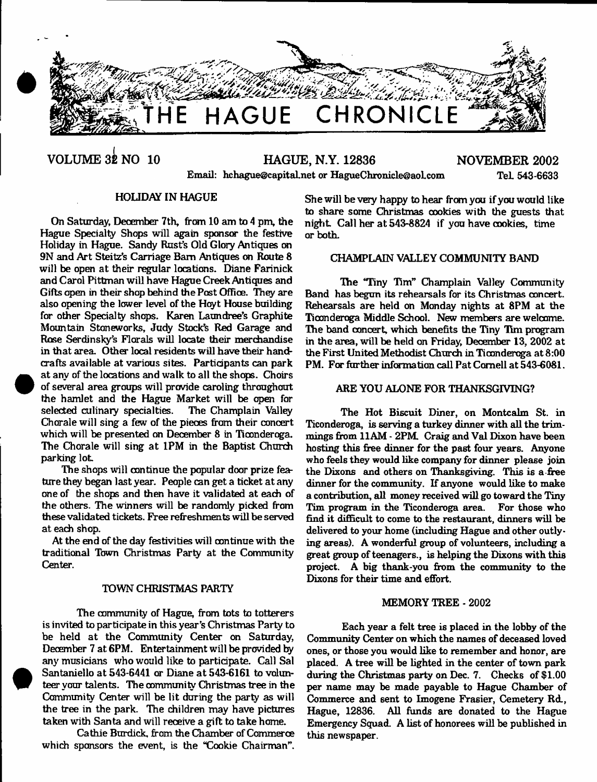

# **VOLUME 32 NO 10 HAGUE, N.Y. 12836 NOVEMBER 2002** Email: [hchague@capital.net](mailto:hchague@capital.net) or [HagueChronicle@aol.com](mailto:HagueChronicle@aol.com) Tel 543-6633

# HOLIDAY IN HAGUE

On Saturday, December 7th, from 10 am to 4 pm, the Hague Specialty Shops will again sponsor the festive Holiday in Hague. Sandy Rust's Old Glory Antiques on 9N and Art Steitz's Carriage Bam Antiques on Route 8 will be open at their regular locations. Diane Farinick and Carol Pittman will have Hague Creek Antiques and Gifts open in their shop behind the Post Office. They are also opening the lower level of the Hoyt House building for other Specialty shops. Karen Laundree's Graphite Mountain Stoneworks, Judy Stock's Red Garage and Rose Serdinsky's Florals will locate their merchandise in that area. Other local residents will have their handcrafts available at various sites. Participants can park at any of the locations and walk to all the shops. Choirs of several area groups will provide caroling throughout the hamlet and the Hague Market will be open for selected culinary specialties. Chorale will sing a few of the pieces from their concert which will be presented on December 8 in Ticonderoga. The Chorale will sing at 1PM in the Baptist Church parking lot

The shops will continue the popular door prize feature they began last year. People can get a ticket at any one of the shops and then have it validated at each of the others. The winners will be randomly picked from these validated tickets. Free refreshments will be served at each shop.

At the end of the day festivities will continue with the traditional Town Christmas Party at the Community Center.

## TOWN CHRISTMAS PARTY

The community of Hague, from tots to totterers is invited to participate in this year's Christmas Party to be held at the Community Center on Saturday, December 7 at 6PM. Entertainment will be provided by any musicians who would like to participate. Call Sal Santaniello at 543-6441 or Diane at 543-6161 to volunteer your talents. The community Christmas tree in the Community Center will be lit during the party as will the tree in the park. The children may have pictures taken with Santa and will receive a gift to take home.

Cathie Burdick, from the Chamber of Commerce which sponsors the event, is the "Cookie Chairman".

She will be very happy to hear from you if you would like to share some Christmas cookies with the guests that night Call her at 543-8824 if you have cookies, time or both.

## CHAMPLAIN VALLEY COMMUNITY BAND

The "Tiny Tim" Champlain Valley Community Band has begun its rehearsals for its Christmas concert. Rehearsals are held on Monday nights at 8PM at the Ticonderoga Middle School. New members are welcome. The band concert, which benefits the Tiny Tim program in the area, will be held on Friday, December 13, 2002 at the First United Methodist Church in Tioonderoga at 8:00 PM. For further information call Pat Cornell at 543-6081.

## ARE YOU ALONE FOR THANKSGIVING?

The Hot Biscuit Diner, on Montcalm St. in Ticonderoga, is serving a turkey dinner with all the trimmings from 11AM - 2PM. Craig and Val Dixon have been hosting this free dinner for the past four years. Anyone who feels they would like company for dinner please join the Dixons and others on Thanksgiving. This is a-free dinner for the community. If anyone would like to make a contribution, all money received will go toward the Tiny Tim program in the Ticonderoga area. For those who find it difficult to come to the restaurant, dinners will be delivered to your home (including Hague and other outlying areas). A wonderful group of volunteers, including a great group of teenagers., is helping the Dixons with this project. A big thank-you from the community to the Dixons for their time and effort.

#### MEMORY TREE-2002

Each year a felt tree is placed in the lobby of the Community Center on which the names of deceased loved ones, or those you would like to remember and honor, are placed. A tree will be lighted in the center of town park during the Christmas party on Dec. 7. Checks of \$1.00 per name may be made payable to Hague Chamber of Commerce and sent to Imogene Frasier, Cemetery Rd., Hague, 12836. All funds are donated to the Hague Emergency Squad. A list of honorees will be published in this newspaper.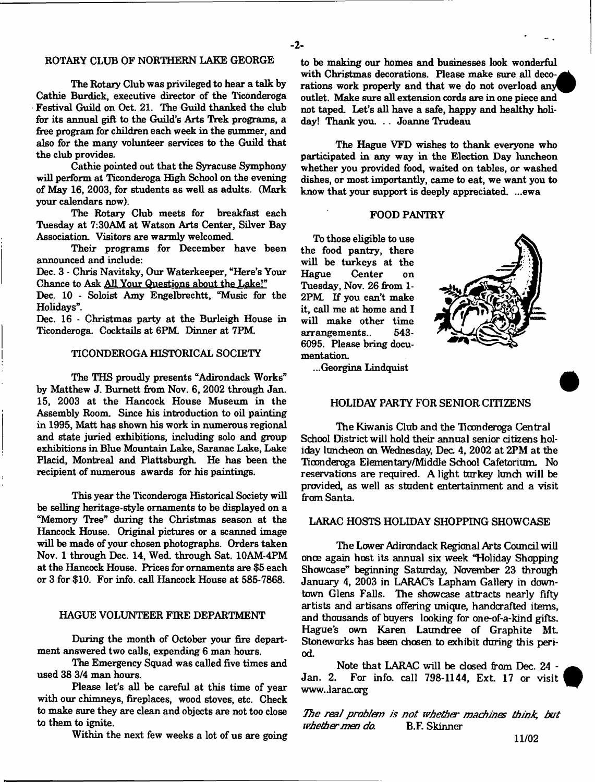## ROTARY CLUB OF NORTHERN LAKE GEORGE

The Rotary Club was privileged to hear a talk by Cathie Burdick, executive director of the Ticonderoga Festival Guild on Oct. 21. The Guild thanked the club for its annual gift to the Guild's Arts Trek programs, a free program for children each week in the summer, and also for the many volunteer services to the Guild that the club provides.

Cathie pointed out that the Syracuse Symphony will perform at Ticonderoga High School on the evening of May 16, 2003, for students as well as adults. (Mark your calendars now).

The Rotary Club meets for breakfast each Tuesday at 7;30AM at Watson Arts Center, Silver Bay Association. Visitors are warmly welcomed.

Their programs for December have been announced and include:

Dec. 3 - Chris Navitsky, Our Waterkeeper, "Here's Your Chance to Ask All Your Questions about the Lake!"

Dec. 10 - Soloist Amy Engelbrechtt, "Music for the Holidays".

Dec. 16 - Christmas party at the Burleigh House in Ticonderoga. Cocktails at 6PM. Dinner at 7PM.

## TICONDEROGA HISTORICAL SOCIETY

The THS proudly presents "Adirondack Works" by Matthew J. Burnett from Nov. 6, 2002 through Jan. 15, 2003 at the Hancock House Museum in the Assembly Room. Since his introduction to oil painting in 1995, Matt has shown his work in numerous regional and state juried exhibitions, including solo and group exhibitions in Blue Mountain Lake, Saranac Lake, Lake Placid, Montreal and Plattsburgh He has been the recipient of numerous awards for his paintings.

This year the Ticonderoga Historical Society will be selling heritage-style ornaments to be displayed on a "Memory Tree" during the Christmas season at the Hancock House. Original pictures or a scanned image will be made of your chosen photographs. Orders taken Nov. 1 through Dec. 14, Wed. through Sat. 10AM-4PM at the Hancock House. Prices for ornaments are \$5 each or 3 for \$10. For info, call Hancock House at 585-7868.

## HAGUE VOLUNTEER FIRE DEPARTMENT

During the month of October your fire department answered two calls, expending 6 man hours.

The Emergency Squad was called five times and used 38 3/4 man hours.

Please let's all be careful at this time of year with our chimneys, fireplaces, wood stoves, etc. Check to make sure they are clean and objects are not too close to them to ignite.

Within the next few weeks a lot of us are going

to be making our homes and businesses look wonderful with Christmas decorations. Please make sure all deco-, rations work properly and that we do not overload any outlet. Make sure all extension cords are in one piece and not taped. Let's all have a safe, happy and healthy holiday! Thank you. . . Joanne Trudeau

The Hague VFD wishes to thank everyone who participated in any way in the Election Day luncheon whether you provided food, waited on tables, or washed dishes, or most importantly, came to eat, we want you to know that your support is deeply appreciated. ...ewa

#### FOOD PANTRY

To those eligible to use the food pantry, there will be turkeys at the<br>Hague Center on Center on Tuesday, Nov. 26 from 1- 2PM If you can't make it, call me at home and I will make other time<br>arrangements. 543arrangements.. 6095. Please bring documentation.



...Georgina Lindquist

## HOLIDAY PARTY FOR SENIOR CITIZENS

The Kiwanis Club and the Ticonderoga Central School District will hold their annual senior citizens holiday luncheon an Wednesday, Dec 4, 2002 at 2PM at the Tioonderoga Elementary/Middle School Cafetorium. No reservations are required. A light turkey lunch will be provided, as well as student entertainment and a visit from Santa.

#### LARAC HOSTS HOLIDAY SHOPPING SHOWCASE

The Lower Adirondack Regional Arts Council will once again host its annual six week "Holiday Shopping Showcase" beginning Saturday, November 23 through January 4, 2003 in LARACs Lapham Gallery in downtown Glens Falls. The showcase attracts nearly fifty artists and artisans offering unique, handcrafted items, and thousands of buyers looking for one-of-a-kind gifts. Hague's own Karen Laundree of Graphite Mt. Stoneworks has been chosen to exhibit during this period.

Note that LARAC will be dosed from Dec. 24 -<br>Jan. 2. For info. call 798-1144. Ext. 17 or visit For info. call 798-1144, Ext. 17 or visit www..larac.org

*The real problem is not whether machines think, but*<br>w*hether men do.* B.F. Skinner *whether men do.*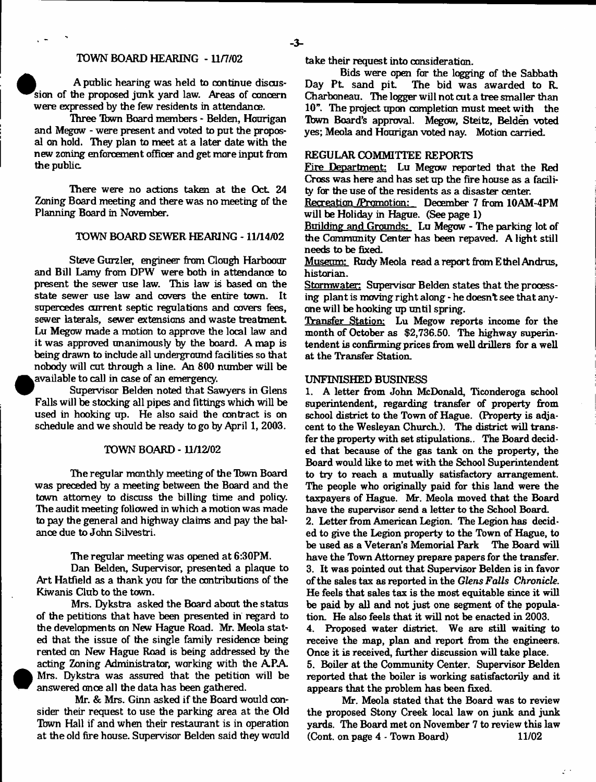## TOWN BOARD HEARING - 11/7/02

A public hearing was held to continue discus sion of the proposed junk yard law. Areas of concern were expressed by the few residents in attendance.

.<br>Three Town Board members - Belden, Hourigan and Megow - were present and voted to put the proposal on hold. They plan to meet at a later date with the new zoning enforcement officer and get more input from the public.

There were no actions taken at the Oct. 24 Zoning Board meeting and there was no meeting of the Planning Board in November.

## TOWN BOARD SEWER HEARING -11/14/02

Steve Gurzler, engineer from Clough Harboour and Bill Lamy from DPW were both in attendance to present the sewer use law. This law is based on the state sewer use law and covers the entire town. It supercedes current septic regulations and covers fees, sewer laterals, sewer extensions and waste treatment. Lu Megow made a motion to approve the local law and it was approved unanimously by the board. A map is being drawn to include all underground facilities so that nobody will cut through a line. An 800 number will be available to call in case of an emergency.

Supervisor Belden noted that Sawyers in Glens Falls will be stocking all pipes and fittings which will be used in hooking up. He also said the contract is on schedule and we should be ready to go by April 1, 2003.

## TOWN BOARD -11/12/02

The regular monthly meeting of the Tbwn Board was preceded by a meeting between the Board and the town attorney to discuss the billing time and policy. The audit meeting followed in which a motion was made to pay the general and highway claims and pay the balance due to John Silvestri.

The regular meeting was opened at 6:30PM.

Dan Belden, Supervisor, presented a plaque to Art Hatfield as a thank you for the contributions of the Kiwanis Club to the town.

Mrs. Dykstra asked the Board about the status of the petitions that have been presented in regard to the developments on New Hague Road. Mr. Meola stated that the issue of the single family residence being rented on New Hague Road is being addressed by the acting Zoning Administrator, working with the APA. Mrs. Dykstra was assured that the petition will be answered once all the data has been gathered.

Mr. & Mrs. Ginn asked if the Board would consider their request to use the parking area at the Old Town Hall if and when their restaurant is in operation at the old fire house. Supervisor Belden said they would

<sup>•</sup>

take their request into consideration.

Bids were open for the logging- of the Sabbath<br>Day Pt. sand pit. The bid was awarded to R. The bid was awarded to R. Charboneau. The logger will not cut a tree smaller than 10". The project upon completion must meet with the Tbwn Board's approval. Megow, Steitz, Belden voted yes; Meola and Hourigan voted nay. Motion carried.

## REGULAR COMMITTEE REPORTS

Fire Department: Lu Megow reported that the Red Cross was here and has set up the fire house as a facility for the use of the residents as a disaster center.

Recreation /Promotian: December 7 from 10AM-4PM will be Holiday in Hague. (See page 1)

Building and Grounds: Lu Megow - The parking lot of the Community Center has been repaved. A light still needs to be fixed.

Museum: Rudy Meola read a report from Ethel Andrus, historian.

Stormwater: Supervisor Belden states that the processing plant is moving right along - he doesn't see that anyone will be hooking up until spring.

Transfer Station: Lu Megow reports income for the month of October as \$2,736.50. The highway superintendent is confirming prices from well drillers for a well at the Transfer Station.

#### UNFINISHED BUSINESS

1. A letter from John McDonald, Ticonderoga school superintendent, regarding transfer of property from school district to the Town of Hague. (Property is adjacent to the Wesleyan Church.). The district will transfer the property with set stipulations.. The Board decided that because of the gas tank on the property, the Board would like to met with the School Superintendent to try to reach a mutually satisfactory arrangement. The people who originally paid for this land were the taxpayers of Hague. Mr. Meola moved that the Board have the supervisor send a letter to the School Board.

2. Letter from American Legion. The Legion has decided to give the Legion property to the Town of Hague, to be used as a Veteran's Memorial Park The Board will have the Town Attorney prepare papers for the transfer. 3. It was pointed out that Supervisor Belden is in favor of the sales tax as reported in the *Glens Falls Chronicle.* He feels that sales tax is the most equitable since it will be paid by all and not just one segment of the population. He also feels that it will not be enacted in 2003.

4. Proposed water district. We are still waiting to receive the map, plan and report from the engineers. Once it is received, further discussion will take place. 5. Boiler at the Community Center. Supervisor Belden reported that the boiler is working satisfactorily and it appears that the problem has been fixed.

Mr. Meola stated that the Board was to review the proposed Stony Creek local law on junk and junk yards. The Board met on November 7 to review this law (Cont. on page 4 - Town Board) 11/02

 $\mathcal{L}^{-1}$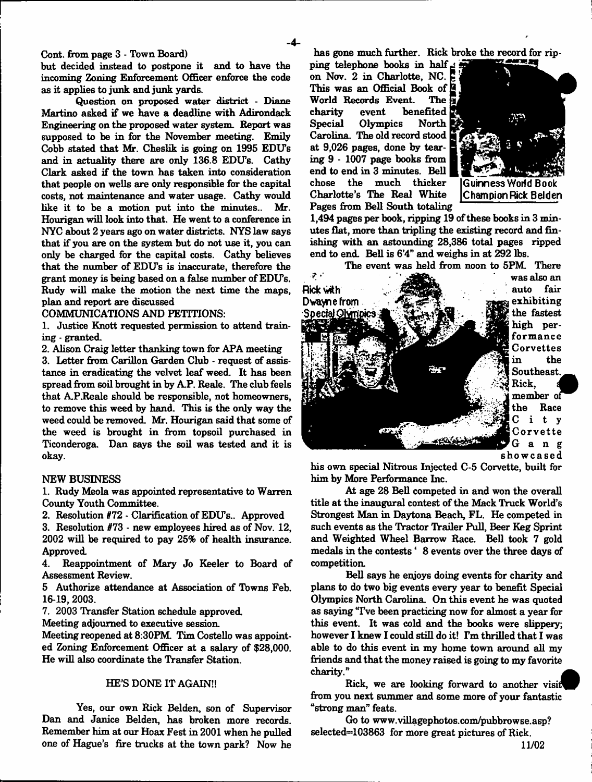- **4**-

Cont. from page 3 - Town Board)

but decided instead to postpone it and to have the incoming Zoning Enforcement Officer enforce the code as it applies to junk and junk yards.

Question on proposed water district - Diane Martino asked if we have a deadline with Adirondack Engineering on the proposed water system. Report was supposed to be in for the November meeting. Emily Cobb stated that Mr. Cheslik is going on 1995 EDU's and in actuality there are only 136.8 EDO's. Cathy Clark asked if the town has taken into consideration that people on wells are only responsible for the capital costs, not maintenance and water usage. Cathy would like it to be a motion put into the minutes.. Mr. Hourigan will look into that. He went to a conference in NYC about 2 years ago on water districts. NYS law says that if you are on the system but do not use it, you can only be charged for the capital costs. Cathy believes that the number of EDU's is inaccurate, therefore the grant money is being based on a false number of EDlTs. Rudy will make the motion the next time the maps, plan and report are discussed

COMMUNICATIONS AND PETITIONS:

1. Justice Knott requested permission to attend training - granted.

2. Alison Craig letter thanking town for APA meeting

3. Letter from Carillon Garden Club - request of assistance in eradicating the velvet leaf weed. It has been spread from soil brought in by AP. Reale. The club feels that A.P.Reale should be responsible, not homeowners, to remove this weed by hand. This is the only way the weed could be removed. Mr. Hourigan said that some of the weed is brought in from topsoil purchased in Ticonderoga. Dan says the soil was tested and it is okay.

## NEW BUSINESS

1. Rudy Meola was appointed representative to Warren County Youth Committee.

2. Resolution #72 - Clarification of EDU's.. Approved

3. Resolution #73 - new employees hired as of Nov. 12, 2002 will be required to pay 25% of health insurance. Approved.

4. Reappointment of Mary Jo Keeler to Board of Assessment Review.

5 Authorize attendance at Association of Towns Feb. 16-19,2003.

7. 2003 Transfer Station schedule approved.

Meeting adjourned to executive session.

Meeting reopened at 8:30PM. Tim Costello was appointed Zoning Enforcement Officer at a salary of \$28,000. He will also coordinate the Transfer Station.

## HE'S DONE IT AGAIN!!

Yes, our own Rick Belden, son of Supervisor Dan and Janice Belden, has broken more records. Remember him at our Hoax Fest in 2001 when he pulled one of Hague's fire trucks at the town park? Now he has gone much further. Rick broke the record for rip-

ping telephone books in half^ on Nov. 2 in Charlotte, NC. This was an Official Book of **R**<br>World Records Event. The B World Records Event. charity event benefited<br>Special Olympics North Olympics Carolina. The old record stood at 9,026 pages, done by tearing 9 - 1007 page books from end to end in 3 minutes. Bell much thicker Charlotte's The Real White Pages from Bell South totaling



**Guinness World Book C ham pi on Rick B el d en**

1,494 pages per book, ripping 19 of these books in 3 minutes flat, more than tripling the existing record and finishing with an astounding 28,386 total pages ripped end to end. Bell is 6'4" and weighs in at 292 lbs.

The event was held from noon to 5PM. There



was also an the fastest high performance Corvettes in the Southeast..

member ol the Race C i t y Corvette **'Gang** showcased

his own special Nitrous Injected C-5 Corvette, built for him by More Performance Inc.

At age 28 Bell competed in and won the overall title at the inaugural contest of the Mack Truck World's Strongest Man in Daytona Beach, FL. He competed in such events as the Tractor Trailer Pull, Beer Keg Sprint and Weighted Wheel Barrow Race. Bell took 7 gold medals in the contests \* 8 events over the three days of competition.

Bell says he enjoys doing events for charity and plans to do two big events every year to benefit Special Olympics North Carolina. On this event he was quoted as saying Tve been practicing now for almost a year for this event. It was cold and the books were slippery; however I knew I could still do it! Tm thrilled that I was able to do this event in my home town around all my friends and that the money raised is going to my favorite charity."

Rick, we are looking forward to another visif^F from you next summer and some more of your fantastic "strong man" feats.

Go to [www.villagephotos.com/pubbrowse.asp?](http://www.villagephotos.com/pubbrowse.asp) selected—103863 for more great pictures of Rick.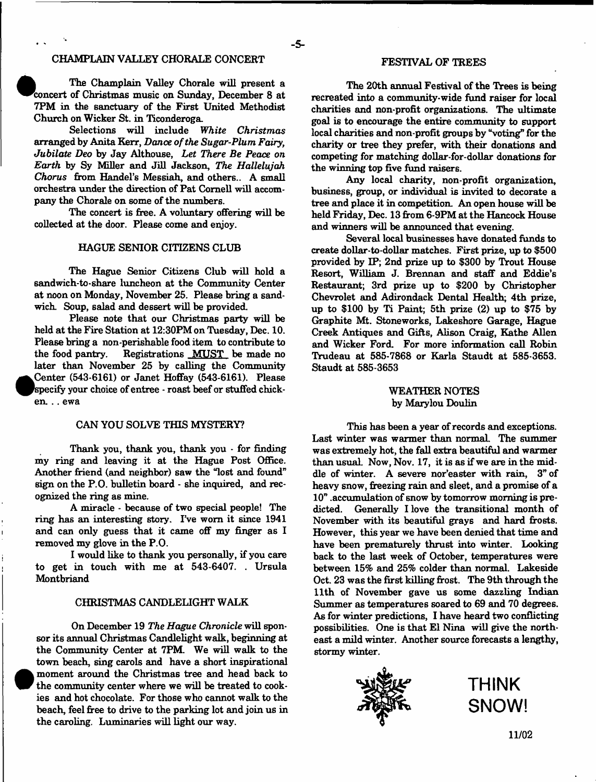## CHAMPLAIN VALLEY CHORALE CONCERT

The Champlain Valley Chorale will present a concert of Christmas music on Sunday, December 8 at 7PM in the sanctuary of the First United Methodist Church on Wicker St. in Ticonderoga.

Selections will include *White Christmas* arranged by Anita Kerr, *Dance of the Sugar-Plum Fairy*, *Jubilate Deo* by Jay Althouse, *Let There Be Peace on Earth* by Sy Miller and Jill Jackson, *The Hallelujah Chorus* from Handel's Messiah, and others.. A small orchestra under the direction of Pat Cornell will accompany the Chorale on some of the numbers.

The concert is free. A voluntary offering will be collected at the door. Please come and enjoy.

## HAGUE SENIOR CITIZENS CLUB

The Hague Senior Citizens Club will hold a sandwich-to-share luncheon at the Community Center at noon on Monday, November 25. Please bring a sandwich. Soup, salad and dessert will be provided.

Please note that our Christmas party will be held at the Fire Station at 12:30PM on Tuesday, Dec. 10. Please bring a non-perishable food item to contribute to<br>the food pantry. Registrations MUST be made no Registrations MUST be made no later than November 25 by calling the Community  $\bullet$ Center (543-6161) or Janet Hoffay (543-6161). Please specify your choice of entree - roast beef or stuffed chicken. .. ewa

#### CAN YOU SOLVE THIS MYSTERY?

Thank you, thank you, thank you - for finding my ring and leaving it at the Hague Post Office. Another friend (and neighbor) saw the "lost and found" sign on the P.O. bulletin board - she inquired, and recognized the ring as mine.

A miracle - because of two special people! The ring has an interesting story. I've worn it since 1941 and can only guess that it came off my finger as I removed my glove in the P.O.

I would like to thank you personally, if you care to get in touch with me at 543-6407. . Ursula Montbriand

#### CHRISTMAS CANDLELIGHT WALK

On December 19 *The Hague Chronicle* will sponsor its annual Christmas Candlelight walk, beginning at the Community Center at 7PM. We will walk to the town beach, sing carols and have a short inspirational moment around the Christmas tree and head back to the community center where we will be treated to cookies and hot chocolate. For those who cannot walk to the beach, feel free to drive to the parking lot and join us in the caroling. Luminaries will light our way.

<sup>•</sup>

## FESTIVAL OF TREES

The 20th annual Festival of the Trees is being recreated into a community-wide fund raiser for local charities and non-profit organizations. The ultimate goal is to encourage the entire community to support local charities and non-profit groups by "voting" for the charily or tree they prefer, with their donations and competing for matching dollar-for-dollar donations for the winning top five fund raisers.

Any local charity, non-profit organization, business, group, or individual is invited to decorate a tree and place it in competition. An open house will be held Friday, Dec. 13 from 6-9PM at the Hancock House and winners will be announced that evening.

Several local businesses have donated funds to create dollar-to-dollar matches. First prize, up to \$500 provided by IP; 2nd prize up to \$300 by Trout House Resort, William J. Brennan and staff and Eddie's Restaurant; 3rd prize up to \$200 by Christopher Chevrolet and Adirondack Dental Health; 4th prize, up to \$100 by Ti Paint; 5th prize (2) up to \$75 by Graphite Mt. Stoneworks, Lakeshore Garage, Hague Creek Antiques and Gifts, Alison Craig, Kathe Allen and Wicker Ford. For more information call Robin Trudeau at 585-7868 or Karla Staudt at 585-3653. Staudt at 585-3653

## WEATHER NOTES by Marylou Doulin

This has been a year of records and exceptions. Last winter was warmer than normal. The summer was extremely hot, the fall extra beautiful and warmer than usual. Now, Nov. 17, it is as if we are in the middle of winter. A severe nor'easter with rain, 3" of heavy snow, freezing rain and sleet, and a promise of a 10" .accumulation of snow by tomorrow morning is predicted. Generally I love the transitional month of November with its beautiful grays and hard frosts. However, this year we have been denied that time and have been prematurely thrust into winter. Looking back to the last week of October, temperatures were between 15% and 25% colder than normal. Lakeside Oct. 23 was the first killing frost. The 9th through the 11th of November gave us some dazzling Indian Summer as temperatures soared to 69 and 70 degrees. As for winter predictions, I have heard two conflicting possibilities. One is that El Nina will give the northeast a mild winter. Another source forecasts a lengthy, stormy winter.



**THINK SNOW!**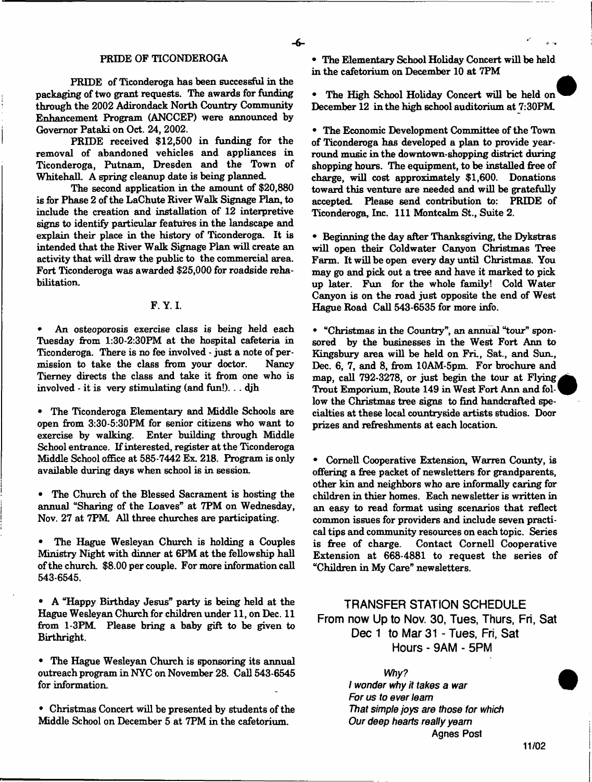#### PRIDE OF TICONDEROGA

PRIDE of Ticonderoga has been successful in the packaging of two grant requests. The awards for funding through the 2002 Adirondack North Country Community Enhancement Program (ANCCEP) were announced by Governor Pataki on Oct. 24, 2002.

PRIDE received \$12,500 in funding for the removal of abandoned vehicles and appliances in Ticonderoga, Putnam, Dresden and the Town of Whitehall. A spring cleanup date is being planned.

The second application in the amount of \$20,880 is for Phase 2 of the LaChute River Walk Signage Plan, to include the creation and installation of 12 interpretive signs to identify particular features in the landscape and explain their place in the history of Ticonderoga. It is intended that the River Walk Signage Plan will create an activity that will draw the public to the commercial area. Fort Ticonderoga was awarded \$25,000 for roadside rehabilitation.

## F. Y. I.

An osteoporosis exercise class is being held each Tuesday from 1:30-2:30FM at the hospital cafeteria in Ticonderoga. There is no fee involved - just a note of permission to take the class from your doctor. Nancy Tierney directs the class and take it from one who is involved - it is very stimulating (and fun!)... djh

• The Ticonderoga Elementary and Middle Schools are open from 3:30-5:30PM for senior citizens who want to exercise by walking. Enter building through Middle School entrance. If interested, register at the Ticonderoga Middle School office at 585-7442 Ex. 218. Program is only available during days when school is in session.

The Church of the Blessed Sacrament is hosting the annual "Sharing of the Loaves" at 7PM on Wednesday, Nov. 27 at 7PM All three churches are participating.

• The Hague Wesleyan Church is holding a Couples Ministry Night with dinner at 6PM at the fellowship hall of the church \$8.00 per couple. For more information call 543-6545.

• A "Happy Birthday Jesus" party is being held at the Hague Wesleyan Church for children under 11, on Dec. 11 from 1-3PM Please bring a baby gift to be given to Birthright.

• The Hague Wesleyan Church is sponsoring its annual outreach program in NYC on November 28. Call 543-6545 for information.

• Christmas Concert will be presented by students of the Middle School on December 5 at 7PM in the cafetorium.

• The Elementary School Holiday Concert will be held in the cafetorium on December 10 at 7PM

The High School Holiday Concert will be held on December 12 in the high school auditorium at 7:30PM

• The Economic Development Committee of the Town of Ticonderoga has developed a plan to provide yearround music in the downtown-shopping district during shopping hours. The equipment, to be installed free of charge, will cost approximately \$1,600. Donations toward this venture are needed and will be gratefully accepted. Please send contribution to: PRIDE of Ticonderoga, Inc. 111 Montcalm St., Suite 2.

• Beginning the day after Thanksgiving, the Dykstras will open their Coldwater Canyon Christmas Tree Farm. It will be open every day until Christmas. You may go and pick out a tree and have it marked to pick up later. Fun for the whole family! Cold Water Canyon is on the road just opposite the end of West Hague Road Call 543-6535 for more info.

• "Christmas in the Country", an annual "tour" sponsored by the businesses in the West Fort Ann to Kingsbury area will be held on Fri., Sat., and Sun., Dec. 6, 7, and 8, from 10AM-5pm. For brochure and map, call 792-3278, or just begin the tour at Flying. Trout Emporium, Route 149 in West Fort Ann and fol-' low the Christmas tree signs to find handcrafted specialties at these local countryside artists studios. Door prizes and refreshments at each location.

• Cornell Cooperative Extension, Warren County, is offering a free packet of newsletters for grandparents, other kin and neighbors who are informally caring for children in thier homes. Each newsletter is written in an easy to read format using scenarios that reflect common issues for providers and include seven practical tips and community resources on each topic. Series is free of charge. Contact Cornell Cooperative Extension at 668-4881 to request the series of "Children in My Care" newsletters.

# **TRANSFER STATION SCHEDULE From now Up to Nov. 30, Tues, Thurs, Fri, Sat** Dec 1 to Mar 31 - Tues, Fri, Sat **Hours - 9AM - 5PM**

*Why? . I wonder why it takes* a *war For us to ever team That simple joys are those for which Our deep hearts really yearn* Agnes Post

**11/02**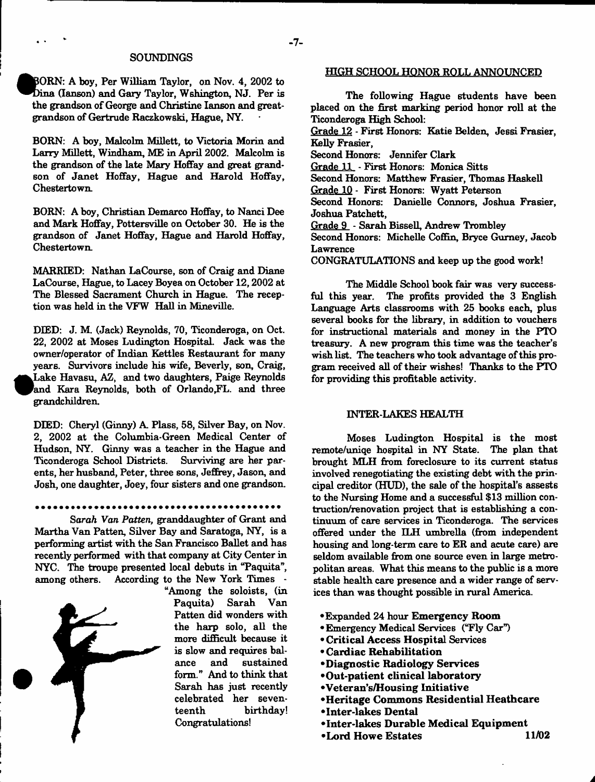#### SOUNDINGS

BORN: A boy, Per William Taylor, on Nov. 4, 2002 to Dina (Ianson) and Gary Taylor, Wshington, NJ. Per is the grandson of George and Christine lanson and greatgrandson of Gertrude Raczkowski, Hague, NY.

BORN: A boy, Malcolm Millett, to Victoria Morin and Larry Millett, Windham, ME in April 2002. Malcolm is the grandson of the late Mary Hoffay and great grandson of Janet Hoffay, Hague and Harold Hoffay, Chestertown

BORN: A boy, Christian Demarco Hoffay, to Nanci Dee and Mark Hoffay, Pottersville on October 30. He is the grandson of Janet Hoffay, Hague and Harold Hoffay, Chestertown.

MARRIED: Nathan LaCourse, son of Craig and Diane LaCourse, Hague, to Lacey Boyea on October 12,2002 at The Blessed Sacrament Church in Hague. The reception was held in the VFW Hall in Mineville.

DIED: J. M. (Jack) Reynolds, 70, Ticonderoga, on Oct. 22, 2002 at Moses Ludington Hospital. Jack was the owner/operator of Indian Kettles Restaurant for many years. Survivors include his wife, Beverly, son, Craig, **•** Lake Havasu, AZ, and two daughters, Paige Reynolds and Kara Reynolds, both of Orlando, FL. and three grandchildren.

DIED: Cheryl (Ginny) A Plass, 58, Silver Bay, on Nov. 2, 2002 at the Columbia-Green Medical Center of Hudson, NY. Ginny was a teacher in the Hague and Ticonderoga School Districts. Surviving are her parents, her husband, Peter, three sons, Jeffrey, Jason, and Josh, one daughter, Joey, four sisters and one grandson.

Sarah *Van Patten*, granddaughter of Grant and Martha Van Patten, Silver Bay and Saratoga, NY, is a performing artist with the San Francisco Ballet and has recently performed with that company at City Center in NYC. The troupe presented local debuts in "Paquita", among others. According to the New York Times -



"Among the soloists, (in Paquita) Sarah Van Patten did wonders with the harp solo, all the more difficult because it is slow and requires balance and sustained form." And to think that Sarah has just recently celebrated her seventeenth birthday! Congratulations!

#### HIGH SCHOOL HONOR ROLL ANNOUNCED

The following Hague students have been placed on the first marking period honor roll at the Ticonderoga High School:

Grade 12 - First Honors: Katie Belden, Jessi Frasier, Kelly Frasier,

Second Honors: Jennifer Clark

Grade 11 - First Honors: Monica Sitts

Second Honors: Matthew Frasier, Thomas Haskell

Grade 10 - First Honors: Wyatt Peterson

Second Honors: Danielle Connors, Joshua Frasier, Joshua Patchett,

Grade 9 - Sarah Bissell, Andrew Trombley

Second Honors: Michelle Coffin, Bryce Gurney, Jacob Lawrence

CONGRATULATIONS and keep up the good work!

The Middle School book fair was very successful this year. The profits provided the 3 English Language Arts classrooms with 25 books each, plus several books for the library, in addition to vouchers for instructional materials and money in the PTO treasury. A new program this time was the teacher's wish list. The teachers who took advantage of this program received all of their wishes! Thanks to the PTO for providing this profitable activity.

## INTER-LAKES HEALTH

Moses Ludington Hospital is the most remote/uniqe hospital in NY State. The plan that brought MLH from foreclosure to its current status involved renegotiating the existing debt with the principal creditor (HUD), the sale of the hospital's assests to the Nursing Home and a successful \$13 million contruction/renovation project that is establishing a continuum of care services in Ticonderoga. The services offered under the ILH umbrella (from independent housing and long-term care to ER and acute care) are seldom available from one source even in large metropolitan areas. What this means to the public is a more stable health care presence and a wider range of services than was thought possible in rural America.

- Expanded 24 hour Emergency Room
- •Emergency Medical Services ("Fly Car")
- Critical Access Hospital Services
- Cardiac Rehabilitation
- •Diagnostic Radiology Services
- •O ut-patient clinical laboratory
- •Veteran's/Housing Initiative
- •Heritage Commons Residential Heathcare
- •Inter-lakes Dental
- •Inter-lakes Durable Medical Equipm ent
- •Lord Howe Estates 11/02